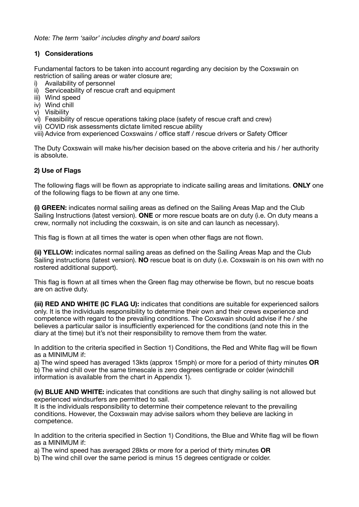*Note: The term 'sailor' includes dinghy and board sailors* 

# **1) Considerations**

Fundamental factors to be taken into account regarding any decision by the Coxswain on restriction of sailing areas or water closure are;

- i) Availability of personnel
- ii) Serviceability of rescue craft and equipment
- iii) Wind speed
- iv) Wind chill
- v) Visibility

vi) Feasibility of rescue operations taking place (safety of rescue craft and crew)

vii) COVID risk assessments dictate limited rescue ability

viii) Advice from experienced Coxswains / office staff / rescue drivers or Safety Officer

The Duty Coxswain will make his/her decision based on the above criteria and his / her authority is absolute.

## **2) Use of Flags**

The following flags will be flown as appropriate to indicate sailing areas and limitations. **ONLY** one of the following flags to be flown at any one time.

**(i) GREEN:** indicates normal sailing areas as defined on the Sailing Areas Map and the Club Sailing Instructions (latest version). **ONE** or more rescue boats are on duty (i.e. On duty means a crew, normally not including the coxswain, is on site and can launch as necessary).

This flag is flown at all times the water is open when other flags are not flown.

**(ii) YELLOW:** indicates normal sailing areas as defined on the Sailing Areas Map and the Club Sailing instructions (latest version). **NO** rescue boat is on duty (i.e. Coxswain is on his own with no rostered additional support).

This flag is flown at all times when the Green flag may otherwise be flown, but no rescue boats are on active duty.

**(iii) RED AND WHITE (IC FLAG U):** indicates that conditions are suitable for experienced sailors only. It is the individuals responsibility to determine their own and their crews experience and competence with regard to the prevailing conditions. The Coxswain should advise if he / she believes a particular sailor is insufficiently experienced for the conditions (and note this in the diary at the time) but it's not their responsibility to remove them from the water.

In addition to the criteria specified in Section 1) Conditions, the Red and White flag will be flown as a MINIMUM if:

a) The wind speed has averaged 13kts (approx 15mph) or more for a period of thirty minutes **OR** b) The wind chill over the same timescale is zero degrees centigrade or colder (windchill information is available from the chart in Appendix 1).

**(iv) BLUE AND WHITE:** indicates that conditions are such that dinghy sailing is not allowed but experienced windsurfers are permitted to sail.

It is the individuals responsibility to determine their competence relevant to the prevailing conditions. However, the Coxswain may advise sailors whom they believe are lacking in competence.

In addition to the criteria specified in Section 1) Conditions, the Blue and White flag will be flown as a MINIMUM if:

a) The wind speed has averaged 28kts or more for a period of thirty minutes **OR**

b) The wind chill over the same period is minus 15 degrees centigrade or colder.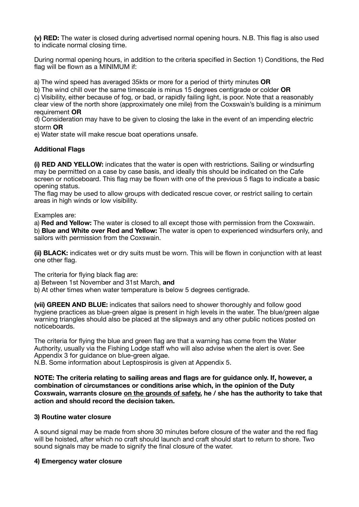**(v) RED:** The water is closed during advertised normal opening hours. N.B. This flag is also used to indicate normal closing time.

During normal opening hours, in addition to the criteria specified in Section 1) Conditions, the Red flag will be flown as a MINIMUM if:

a) The wind speed has averaged 35kts or more for a period of thirty minutes **OR**

b) The wind chill over the same timescale is minus 15 degrees centigrade or colder **OR**  c) Visibility, either because of fog, or bad, or rapidly failing light, is poor. Note that a reasonably

clear view of the north shore (approximately one mile) from the Coxswain's building is a minimum requirement **OR** 

d) Consideration may have to be given to closing the lake in the event of an impending electric storm **OR**

e) Water state will make rescue boat operations unsafe.

#### **Additional Flags**

**(i) RED AND YELLOW:** indicates that the water is open with restrictions. Sailing or windsurfing may be permitted on a case by case basis, and ideally this should be indicated on the Cafe screen or noticeboard. This flag may be flown with one of the previous 5 flags to indicate a basic opening status.

The flag may be used to allow groups with dedicated rescue cover, or restrict sailing to certain areas in high winds or low visibility.

Examples are:

a) **Red and Yellow:** The water is closed to all except those with permission from the Coxswain. b) **Blue and White over Red and Yellow:** The water is open to experienced windsurfers only, and sailors with permission from the Coxswain.

**(ii) BLACK:** indicates wet or dry suits must be worn. This will be flown in conjunction with at least one other flag.

The criteria for flying black flag are:

a) Between 1st November and 31st March, **and**

b) At other times when water temperature is below 5 degrees centigrade.

**(vii) GREEN AND BLUE:** indicates that sailors need to shower thoroughly and follow good hygiene practices as blue-green algae is present in high levels in the water. The blue/green algae warning triangles should also be placed at the slipways and any other public notices posted on noticeboards.

The criteria for flying the blue and green flag are that a warning has come from the Water Authority, usually via the Fishing Lodge staff who will also advise when the alert is over. See Appendix 3 for guidance on blue-green algae.

N.B. Some information about Leptospirosis is given at Appendix 5.

**NOTE: The criteria relating to sailing areas and flags are for guidance only. If, however, a combination of circumstances or conditions arise which, in the opinion of the Duty Coxswain, warrants closure on the grounds of safety, he / she has the authority to take that action and should record the decision taken.** 

#### **3) Routine water closure**

A sound signal may be made from shore 30 minutes before closure of the water and the red flag will be hoisted, after which no craft should launch and craft should start to return to shore. Two sound signals may be made to signify the final closure of the water.

#### **4) Emergency water closure**